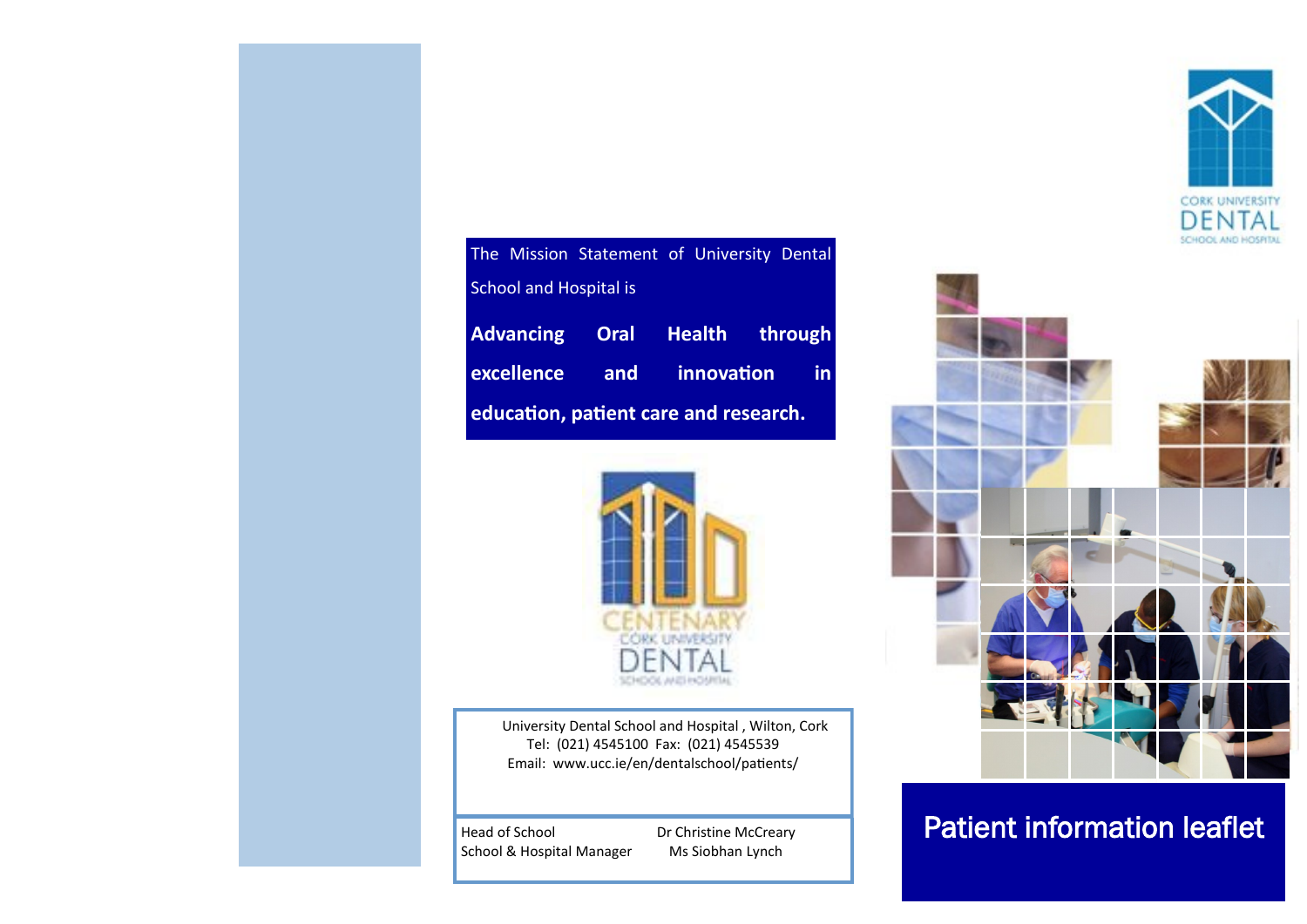

| The Mission Statement of University Dental |  |  |  |  |
|--------------------------------------------|--|--|--|--|
| <b>School and Hospital is</b>              |  |  |  |  |
| Advancing Oral Health through              |  |  |  |  |
| excellence and innovation in               |  |  |  |  |
| education, patient care and research.      |  |  |  |  |



University Dental School and Hospital , Wilton, Cork Tel: (021) 4545100 Fax: (021) 4545539 Email: www.ucc.ie/en/dentalschool/patients/

School & Hospital Manager

Dr Christine McCreary Ms Siobhan Lynch



# Head of School **Patient information leaflet**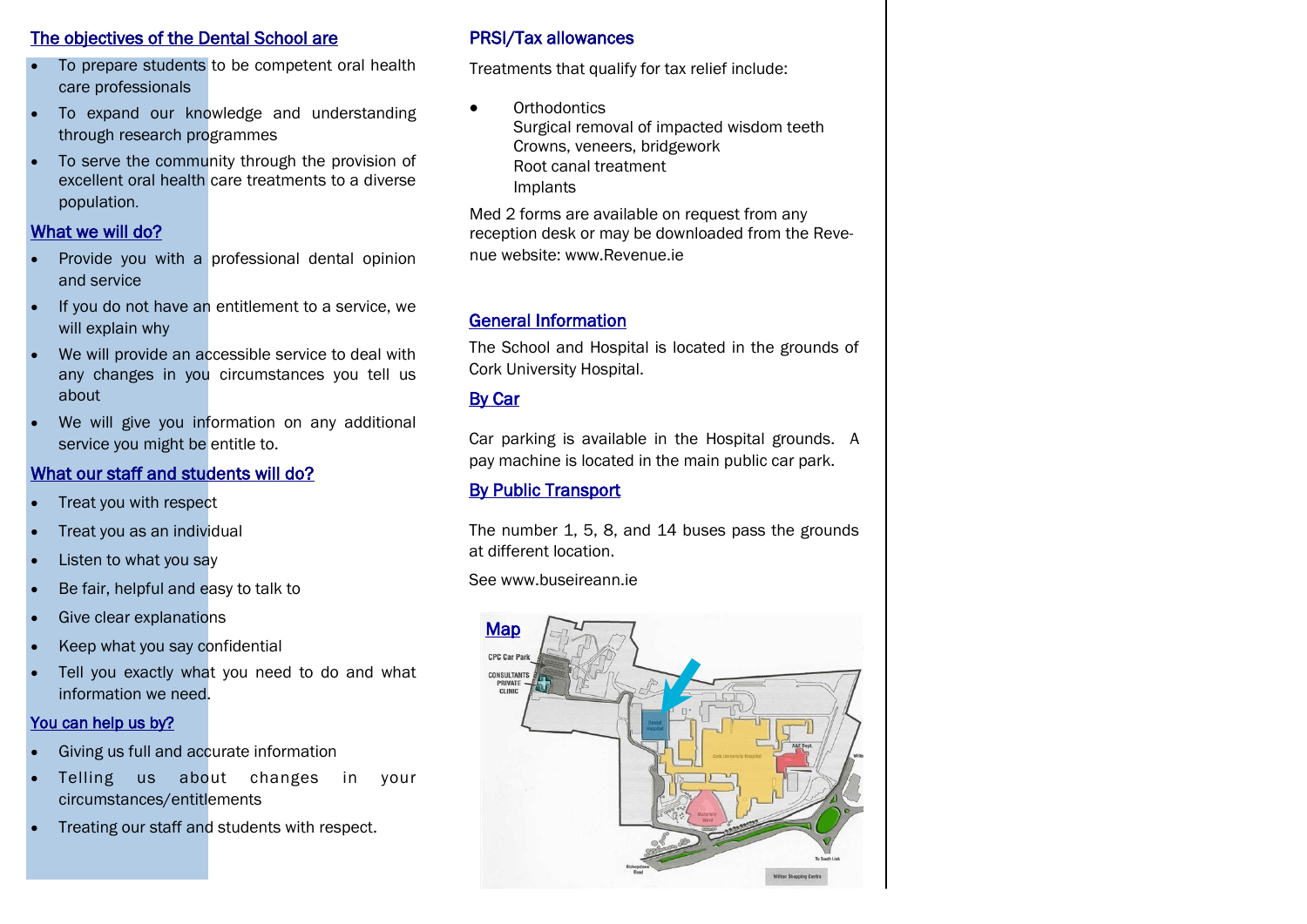# The objectives of the Dental School are

- To prepare students to be competent oral health care professionals
- To expand our knowledge and understanding through research programmes
- To serve the community through the provision of excellent oral health care treatments to a diverse population.

# What we will do?

- Provide you with a professional dental opinion and service
- If you do not have an entitlement to a service, we will explain why
- We will provide an accessible service to deal with any changes in you circumstances you tell us about
- We will give you information on any additional service you might be entitle to.

# What our staff and students will do?

- Treat you with respect
- Treat you as an individual
- Listen to what you say
- Be fair, helpful and easy to talk to
- Give clear explanations
- Keep what you say confidential
- Tell you exactly what you need to do and what information we need.

# You can help us by?

- Giving us full and accurate information
- Telling us about changes in your circumstances/entitlements
- Treating our staff and students with respect.

# PRSI/Tax allowances

Treatments that qualify for tax relief include:

• Orthodontics Surgical removal of impacted wisdom teeth Crowns, veneers, bridgework Root canal treatment Implants

Med 2 forms are available on request from any reception desk or may be downloaded from the Revenue website: www.Revenue.ie

# General Information

The School and Hospital is located in the grounds of Cork University Hospital.

# By Car

Car parking is available in the Hospital grounds. A pay machine is located in the main public car park.

# By Public Transport

The number 1, 5, 8, and 14 buses pass the grounds at different location.

See www.buseireann.ie

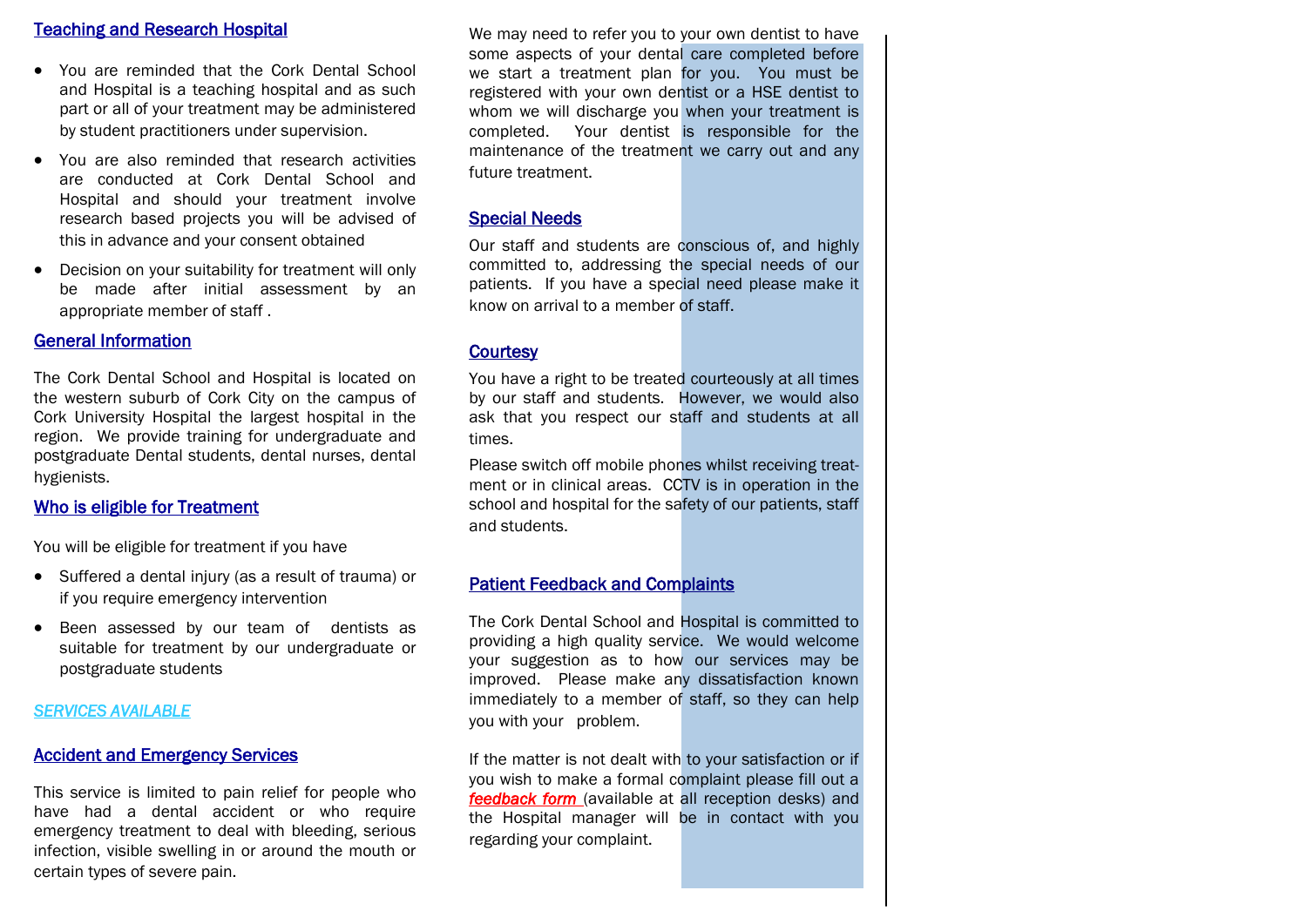#### Teaching and Research Hospital

- You are reminded that the Cork Dental School and Hospital is a teaching hospital and as such part or all of your treatment may be administered by student practitioners under supervision.
- You are also reminded that research activities are conducted at Cork Dental School and Hospital and should your treatment involve research based projects you will be advised of this in advance and your consent obtained
- Decision on your suitability for treatment will only be made after initial assessment by an appropriate member of staff .

## General Information

The Cork Dental School and Hospital is located on the western suburb of Cork City on the campus of Cork University Hospital the largest hospital in the region. We provide training for undergraduate and postgraduate Dental students, dental nurses, dental hygienists.

#### Who is eligible for Treatment

You will be eligible for treatment if you have

- Suffered a dental injury (as a result of trauma) or if you require emergency intervention
- Been assessed by our team of dentists as suitable for treatment by our undergraduate or postgraduate students

#### *SERVICES AVAILABLE*

# Accident and Emergency Services

This service is limited to pain relief for people who have had a dental accident or who require emergency treatment to deal with bleeding, serious infection, visible swelling in or around the mouth or certain types of severe pain.

We may need to refer you to your own dentist to have some aspects of your dental care completed before we start a treatment plan for you. You must be registered with your own dentist or a HSE dentist to whom we will discharge you when your treatment is completed. Your dentist is responsible for the maintenance of the treatment we carry out and any future treatment.

## Special Needs

Our staff and students are conscious of, and highly committed to, addressing the special needs of our patients. If you have a special need please make it know on arrival to a member of staff.

## **Courtesy**

You have a right to be treated courteously at all times by our staff and students. However, we would also ask that you respect our staff and students at all times.

Please switch off mobile phones whilst receiving treatment or in clinical areas. CCTV is in operation in the school and hospital for the safety of our patients, staff and students.

#### Patient Feedback and Complaints

The Cork Dental School and Hospital is committed to providing a high quality service. We would welcome your suggestion as to how our services may be improved. Please make any dissatisfaction known immediately to a member of staff, so they can help you with your problem.

If the matter is not dealt with to your satisfaction or if you wish to make a formal complaint please fill out a *feedback form* (available at all reception desks) and the Hospital manager will be in contact with you regarding your complaint.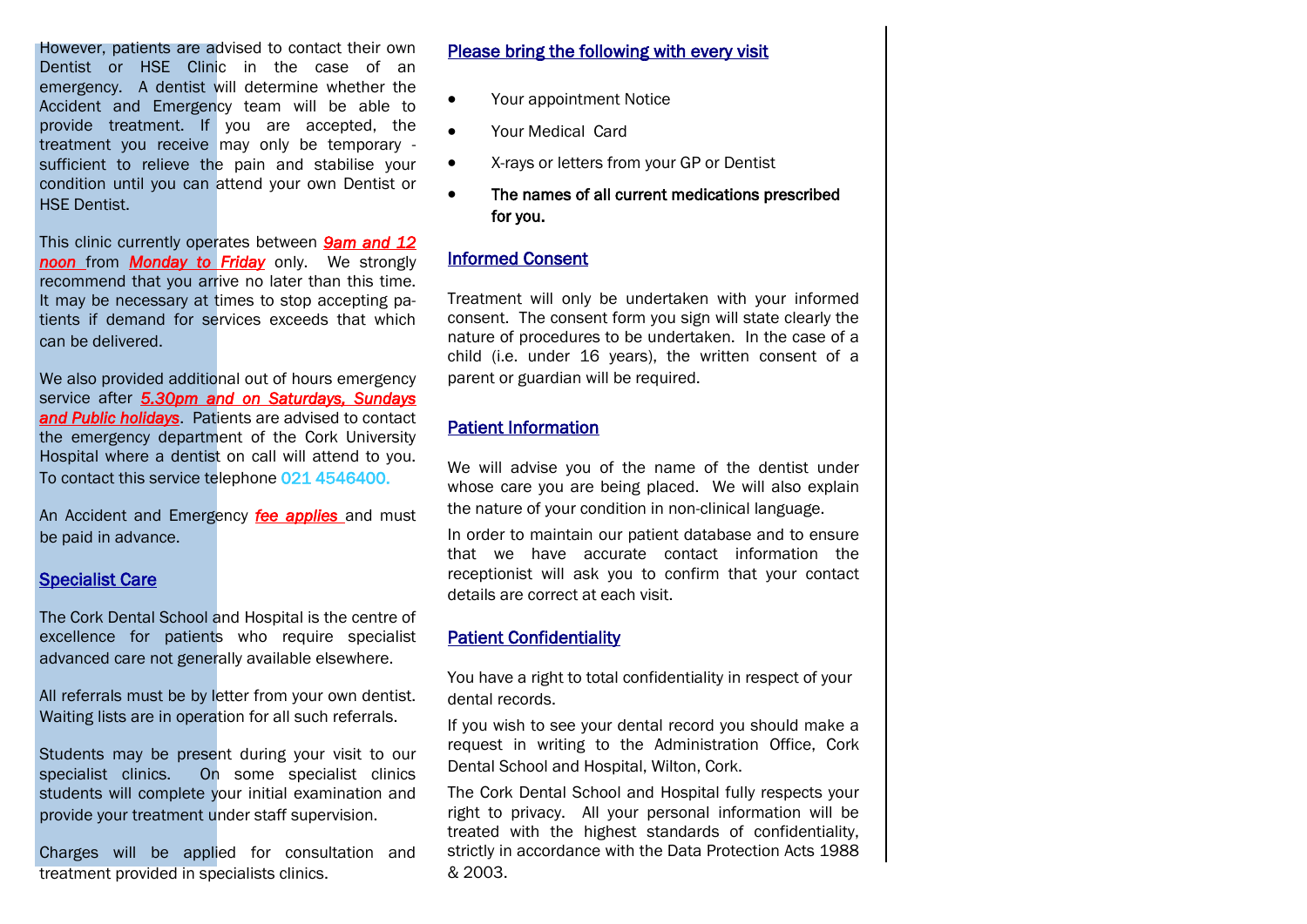However, patients are advised to contact their own Dentist or HSE Clinic in the case of an emergency. A dentist will determine whether the Accident and Emergency team will be able to provide treatment. If you are accepted, the treatment you receive may only be temporary sufficient to relieve the pain and stabilise your condition until you can attend your own Dentist or HSE Dentist.

This clinic currently operates between *9am and 12 noon* from *Monday to Friday* only. We strongly recommend that you arrive no later than this time. It may be necessary at times to stop accepting patients if demand for services exceeds that which can be delivered.

We also provided additional out of hours emergency service after *5.30pm and on Saturdays, Sundays and Public holidays*. Patients are advised to contact the emergency department of the Cork University Hospital where a dentist on call will attend to you. To contact this service telephone 021 4546400.

An Accident and Emergency *fee applies* and must be paid in advance.

#### Specialist Care

The Cork Dental School and Hospital is the centre of excellence for patients who require specialist advanced care not generally available elsewhere.

All referrals must be by letter from your own dentist. Waiting lists are in operation for all such referrals.

Students may be present during your visit to our specialist clinics. On some specialist clinics students will complete your initial examination and provide your treatment under staff supervision.

Charges will be applied for consultation and treatment provided in specialists clinics.

Please bring the following with every visit

- Your appointment Notice
- Your Medical Card
- X-rays or letters from your GP or Dentist
- The names of all current medications prescribed for you.

#### Informed Consent

Treatment will only be undertaken with your informed consent. The consent form you sign will state clearly the nature of procedures to be undertaken. In the case of a child (i.e. under 16 years), the written consent of a parent or guardian will be required.

# Patient Information

We will advise you of the name of the dentist under whose care you are being placed. We will also explain the nature of your condition in non-clinical language.

In order to maintain our patient database and to ensure that we have accurate contact information the receptionist will ask you to confirm that your contact details are correct at each visit.

#### Patient Confidentiality

You have a right to total confidentiality in respect of your dental records.

If you wish to see your dental record you should make a request in writing to the Administration Office, Cork Dental School and Hospital, Wilton, Cork.

The Cork Dental School and Hospital fully respects your right to privacy. All your personal information will be treated with the highest standards of confidentiality, strictly in accordance with the Data Protection Acts 1988 & 2003.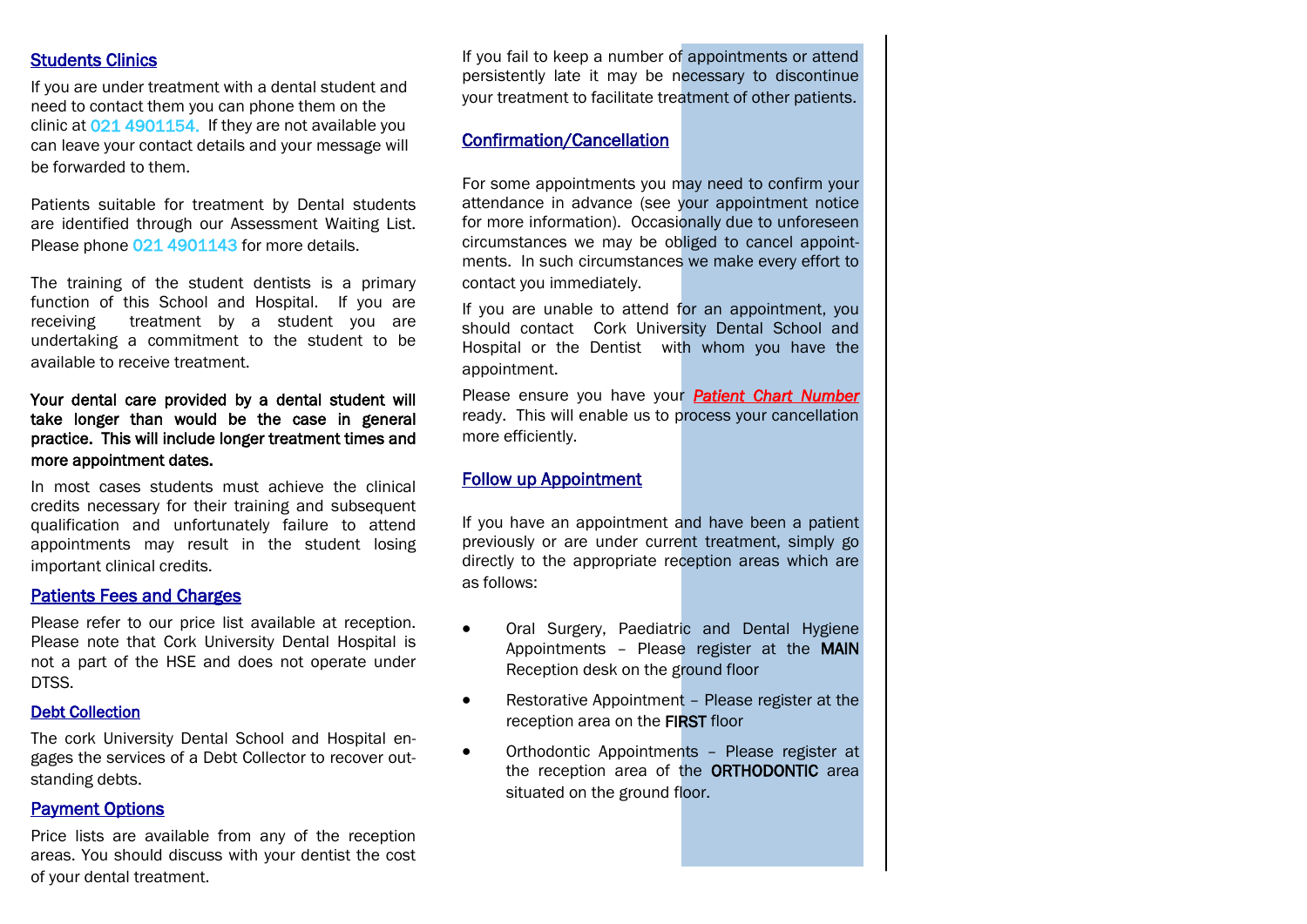# Students Clinics

If you are under treatment with a dental student and need to contact them you can phone them on the clinic at 021 4901154. If they are not available you can leave your contact details and your message will be forwarded to them.

Patients suitable for treatment by Dental students are identified through our Assessment Waiting List. Please phone 021 4901143 for more details.

The training of the student dentists is a primary function of this School and Hospital. If you are receiving treatment by a student you are undertaking a commitment to the student to be available to receive treatment.

#### Your dental care provided by a dental student will take longer than would be the case in general practice. This will include longer treatment times and more appointment dates.

In most cases students must achieve the clinical credits necessary for their training and subsequent qualification and unfortunately failure to attend appointments may result in the student losing important clinical credits.

#### Patients Fees and Charges

Please refer to our price list available at reception. Please note that Cork University Dental Hospital is not a part of the HSE and does not operate under DTSS.

#### Debt Collection

The cork University Dental School and Hospital engages the services of a Debt Collector to recover outstanding debts.

#### Payment Options

Price lists are available from any of the reception areas. You should discuss with your dentist the cost of your dental treatment.

If you fail to keep a number of appointments or attend persistently late it may be necessary to discontinue your treatment to facilitate treatment of other patients.

# Confirmation/Cancellation

For some appointments you may need to confirm your attendance in advance (see your appointment notice for more information). Occasionally due to unforeseen circumstances we may be obliged to cancel appointments. In such circumstances we make every effort to contact you immediately.

If you are unable to attend for an appointment, you should contact Cork University Dental School and Hospital or the Dentist with whom you have the appointment.

Please ensure you have your *Patient Chart Number*  ready. This will enable us to process your cancellation more efficiently.

# Follow up Appointment

If you have an appointment and have been a patient previously or are under current treatment, simply go directly to the appropriate reception areas which are as follows:

- Oral Surgery, Paediatric and Dental Hygiene Appointments – Please register at the MAIN Reception desk on the ground floor
- Restorative Appointment Please register at the reception area on the FIRST floor
- Orthodontic Appointments Please register at the reception area of the ORTHODONTIC area situated on the ground floor.